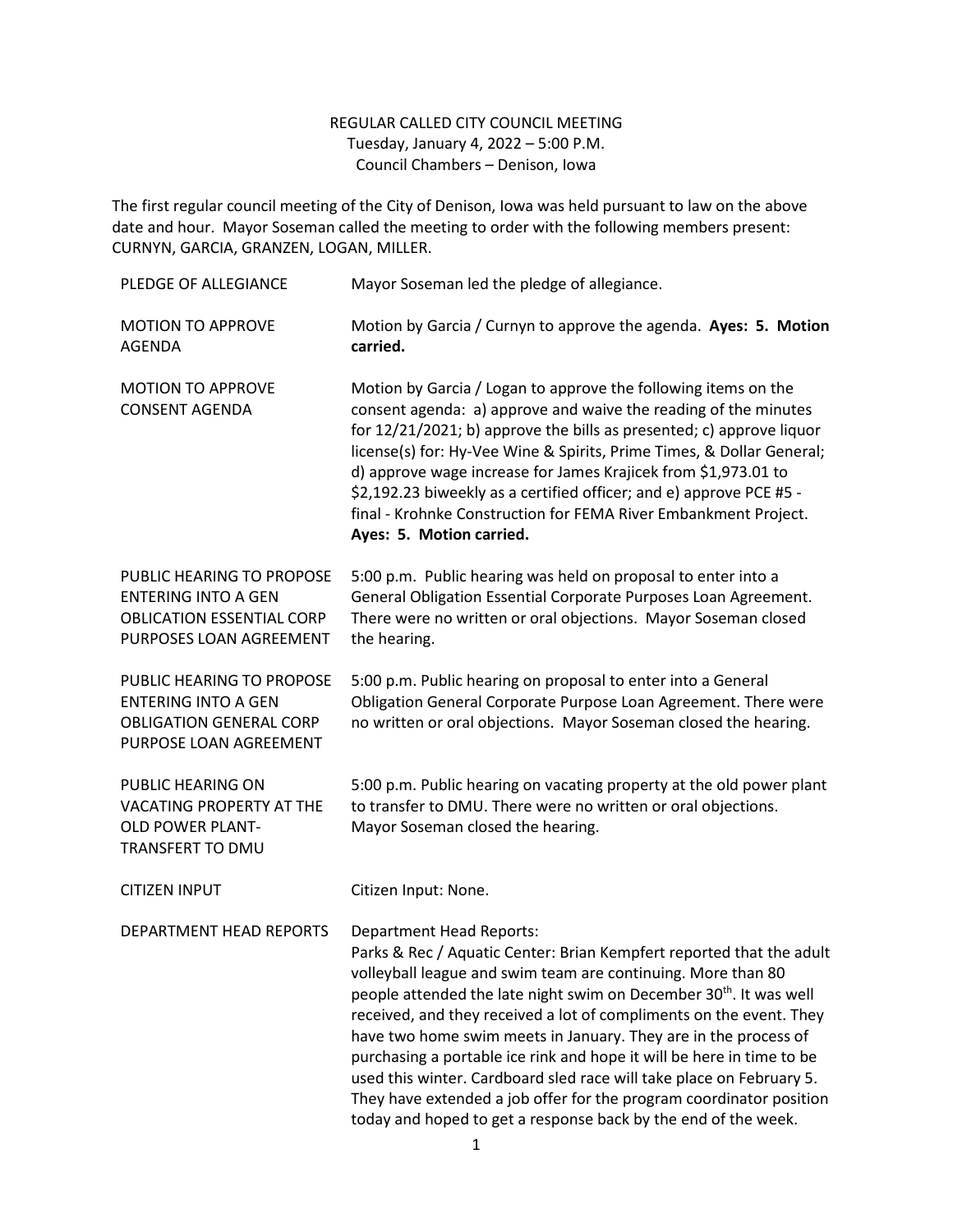## REGULAR CALLED CITY COUNCIL MEETING Tuesday, January 4, 2022 – 5:00 P.M. Council Chambers – Denison, Iowa

The first regular council meeting of the City of Denison, Iowa was held pursuant to law on the above date and hour. Mayor Soseman called the meeting to order with the following members present: CURNYN, GARCIA, GRANZEN, LOGAN, MILLER.

| PLEDGE OF ALLEGIANCE                                                                                                   | Mayor Soseman led the pledge of allegiance.                                                                                                                                                                                                                                                                                                                                                                                                                                                                                                                                                                                                                                                   |
|------------------------------------------------------------------------------------------------------------------------|-----------------------------------------------------------------------------------------------------------------------------------------------------------------------------------------------------------------------------------------------------------------------------------------------------------------------------------------------------------------------------------------------------------------------------------------------------------------------------------------------------------------------------------------------------------------------------------------------------------------------------------------------------------------------------------------------|
| <b>MOTION TO APPROVE</b><br><b>AGENDA</b>                                                                              | Motion by Garcia / Curnyn to approve the agenda. Ayes: 5. Motion<br>carried.                                                                                                                                                                                                                                                                                                                                                                                                                                                                                                                                                                                                                  |
| <b>MOTION TO APPROVE</b><br><b>CONSENT AGENDA</b>                                                                      | Motion by Garcia / Logan to approve the following items on the<br>consent agenda: a) approve and waive the reading of the minutes<br>for 12/21/2021; b) approve the bills as presented; c) approve liquor<br>license(s) for: Hy-Vee Wine & Spirits, Prime Times, & Dollar General;<br>d) approve wage increase for James Krajicek from \$1,973.01 to<br>\$2,192.23 biweekly as a certified officer; and e) approve PCE #5 -<br>final - Krohnke Construction for FEMA River Embankment Project.<br>Ayes: 5. Motion carried.                                                                                                                                                                    |
| PUBLIC HEARING TO PROPOSE<br><b>ENTERING INTO A GEN</b><br><b>OBLICATION ESSENTIAL CORP</b><br>PURPOSES LOAN AGREEMENT | 5:00 p.m. Public hearing was held on proposal to enter into a<br>General Obligation Essential Corporate Purposes Loan Agreement.<br>There were no written or oral objections. Mayor Soseman closed<br>the hearing.                                                                                                                                                                                                                                                                                                                                                                                                                                                                            |
| PUBLIC HEARING TO PROPOSE<br><b>ENTERING INTO A GEN</b><br><b>OBLIGATION GENERAL CORP</b><br>PURPOSE LOAN AGREEMENT    | 5:00 p.m. Public hearing on proposal to enter into a General<br>Obligation General Corporate Purpose Loan Agreement. There were<br>no written or oral objections. Mayor Soseman closed the hearing.                                                                                                                                                                                                                                                                                                                                                                                                                                                                                           |
| PUBLIC HEARING ON<br>VACATING PROPERTY AT THE<br>OLD POWER PLANT-<br>TRANSFERT TO DMU                                  | 5:00 p.m. Public hearing on vacating property at the old power plant<br>to transfer to DMU. There were no written or oral objections.<br>Mayor Soseman closed the hearing.                                                                                                                                                                                                                                                                                                                                                                                                                                                                                                                    |
| <b>CITIZEN INPUT</b>                                                                                                   | Citizen Input: None.                                                                                                                                                                                                                                                                                                                                                                                                                                                                                                                                                                                                                                                                          |
| DEPARTMENT HEAD REPORTS                                                                                                | <b>Department Head Reports:</b><br>Parks & Rec / Aquatic Center: Brian Kempfert reported that the adult<br>volleyball league and swim team are continuing. More than 80<br>people attended the late night swim on December 30 <sup>th</sup> . It was well<br>received, and they received a lot of compliments on the event. They<br>have two home swim meets in January. They are in the process of<br>purchasing a portable ice rink and hope it will be here in time to be<br>used this winter. Cardboard sled race will take place on February 5.<br>They have extended a job offer for the program coordinator position<br>today and hoped to get a response back by the end of the week. |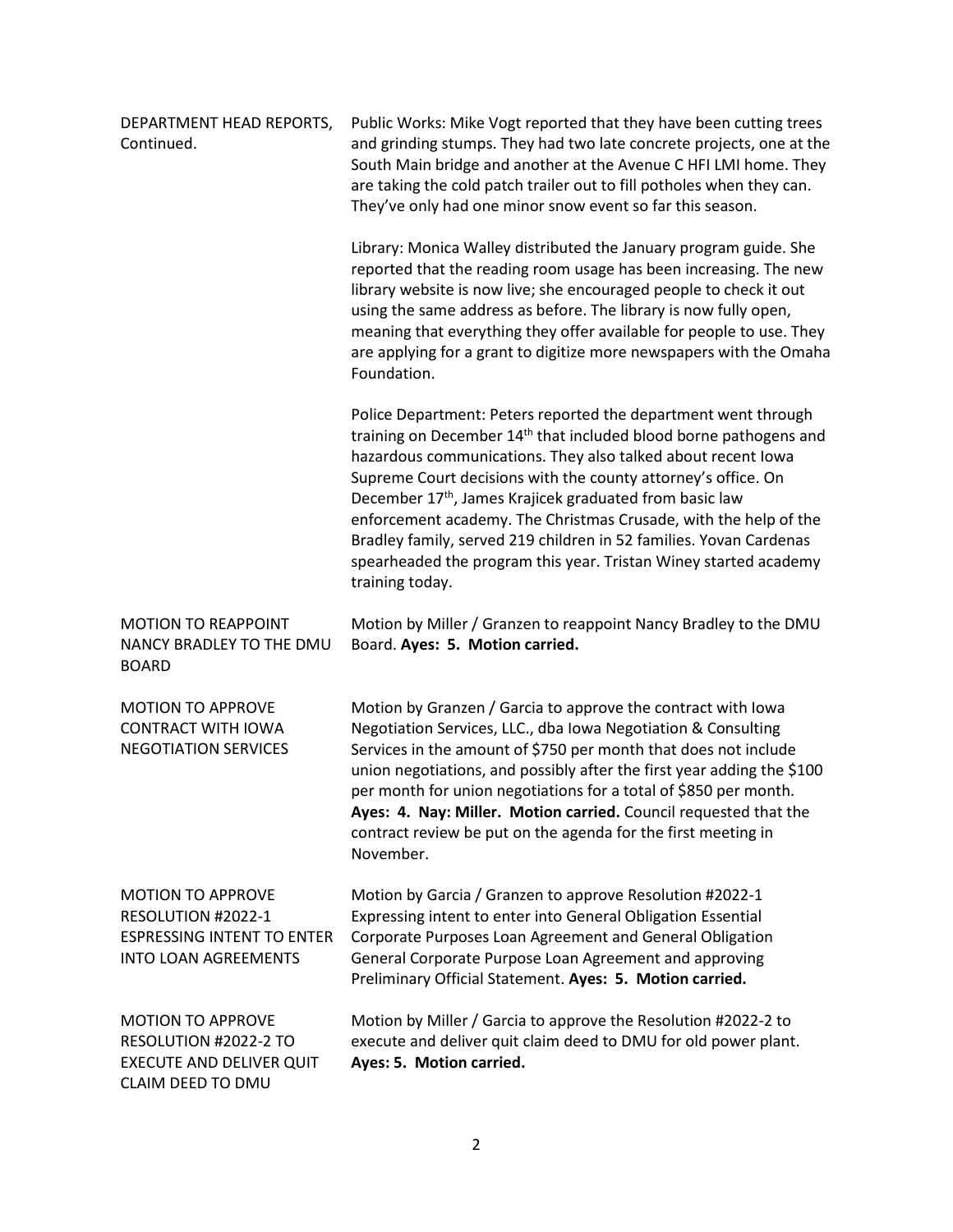| DEPARTMENT HEAD REPORTS,<br>Continued.                                                                             | Public Works: Mike Vogt reported that they have been cutting trees<br>and grinding stumps. They had two late concrete projects, one at the<br>South Main bridge and another at the Avenue C HFI LMI home. They<br>are taking the cold patch trailer out to fill potholes when they can.<br>They've only had one minor snow event so far this season.                                                                                                                                                                                                                                     |
|--------------------------------------------------------------------------------------------------------------------|------------------------------------------------------------------------------------------------------------------------------------------------------------------------------------------------------------------------------------------------------------------------------------------------------------------------------------------------------------------------------------------------------------------------------------------------------------------------------------------------------------------------------------------------------------------------------------------|
|                                                                                                                    | Library: Monica Walley distributed the January program guide. She<br>reported that the reading room usage has been increasing. The new<br>library website is now live; she encouraged people to check it out<br>using the same address as before. The library is now fully open,<br>meaning that everything they offer available for people to use. They<br>are applying for a grant to digitize more newspapers with the Omaha<br>Foundation.                                                                                                                                           |
|                                                                                                                    | Police Department: Peters reported the department went through<br>training on December 14 <sup>th</sup> that included blood borne pathogens and<br>hazardous communications. They also talked about recent lowa<br>Supreme Court decisions with the county attorney's office. On<br>December 17 <sup>th</sup> , James Krajicek graduated from basic law<br>enforcement academy. The Christmas Crusade, with the help of the<br>Bradley family, served 219 children in 52 families. Yovan Cardenas<br>spearheaded the program this year. Tristan Winey started academy<br>training today. |
| <b>MOTION TO REAPPOINT</b><br>NANCY BRADLEY TO THE DMU<br><b>BOARD</b>                                             | Motion by Miller / Granzen to reappoint Nancy Bradley to the DMU<br>Board. Ayes: 5. Motion carried.                                                                                                                                                                                                                                                                                                                                                                                                                                                                                      |
| <b>MOTION TO APPROVE</b><br><b>CONTRACT WITH IOWA</b><br><b>NEGOTIATION SERVICES</b>                               | Motion by Granzen / Garcia to approve the contract with lowa<br>Negotiation Services, LLC., dba Iowa Negotiation & Consulting<br>Services in the amount of \$750 per month that does not include<br>union negotiations, and possibly after the first year adding the \$100<br>per month for union negotiations for a total of \$850 per month.<br>Ayes: 4. Nay: Miller. Motion carried. Council requested that the<br>contract review be put on the agenda for the first meeting in<br>November.                                                                                         |
| <b>MOTION TO APPROVE</b><br>RESOLUTION #2022-1<br><b>ESPRESSING INTENT TO ENTER</b><br><b>INTO LOAN AGREEMENTS</b> | Motion by Garcia / Granzen to approve Resolution #2022-1<br>Expressing intent to enter into General Obligation Essential<br>Corporate Purposes Loan Agreement and General Obligation<br>General Corporate Purpose Loan Agreement and approving<br>Preliminary Official Statement. Ayes: 5. Motion carried.                                                                                                                                                                                                                                                                               |
| <b>MOTION TO APPROVE</b><br>RESOLUTION #2022-2 TO<br><b>EXECUTE AND DELIVER QUIT</b><br>CLAIM DEED TO DMU          | Motion by Miller / Garcia to approve the Resolution #2022-2 to<br>execute and deliver quit claim deed to DMU for old power plant.<br>Ayes: 5. Motion carried.                                                                                                                                                                                                                                                                                                                                                                                                                            |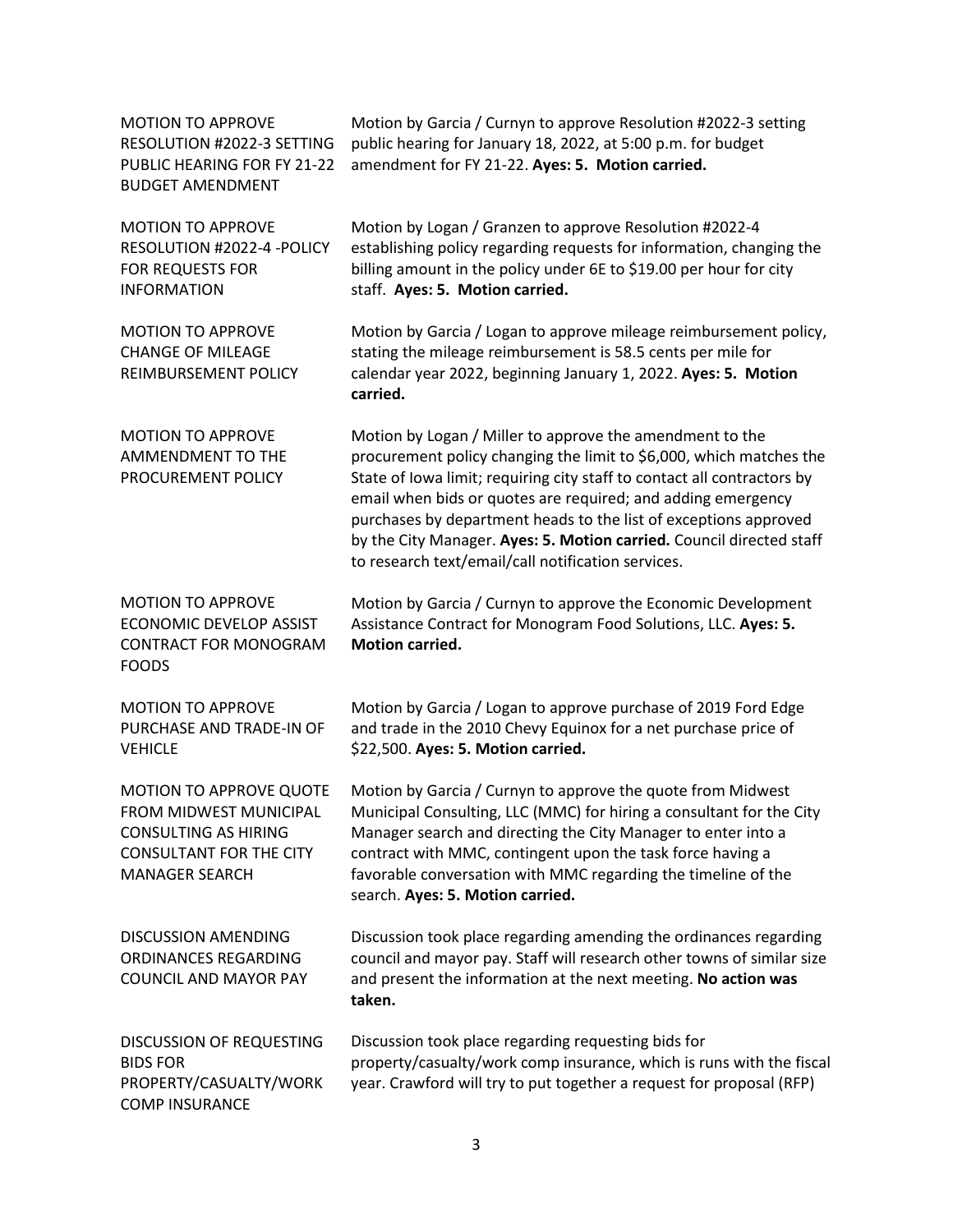| <b>MOTION TO APPROVE</b><br>RESOLUTION #2022-3 SETTING<br>PUBLIC HEARING FOR FY 21-22<br><b>BUDGET AMENDMENT</b>                                   | Motion by Garcia / Curnyn to approve Resolution #2022-3 setting<br>public hearing for January 18, 2022, at 5:00 p.m. for budget<br>amendment for FY 21-22. Ayes: 5. Motion carried.                                                                                                                                                                                                                                                                                          |
|----------------------------------------------------------------------------------------------------------------------------------------------------|------------------------------------------------------------------------------------------------------------------------------------------------------------------------------------------------------------------------------------------------------------------------------------------------------------------------------------------------------------------------------------------------------------------------------------------------------------------------------|
| <b>MOTION TO APPROVE</b><br>RESOLUTION #2022-4 -POLICY<br><b>FOR REQUESTS FOR</b><br><b>INFORMATION</b>                                            | Motion by Logan / Granzen to approve Resolution #2022-4<br>establishing policy regarding requests for information, changing the<br>billing amount in the policy under 6E to \$19.00 per hour for city<br>staff. Ayes: 5. Motion carried.                                                                                                                                                                                                                                     |
| <b>MOTION TO APPROVE</b><br><b>CHANGE OF MILEAGE</b><br>REIMBURSEMENT POLICY                                                                       | Motion by Garcia / Logan to approve mileage reimbursement policy,<br>stating the mileage reimbursement is 58.5 cents per mile for<br>calendar year 2022, beginning January 1, 2022. Ayes: 5. Motion<br>carried.                                                                                                                                                                                                                                                              |
| <b>MOTION TO APPROVE</b><br>AMMENDMENT TO THE<br>PROCUREMENT POLICY                                                                                | Motion by Logan / Miller to approve the amendment to the<br>procurement policy changing the limit to \$6,000, which matches the<br>State of Iowa limit; requiring city staff to contact all contractors by<br>email when bids or quotes are required; and adding emergency<br>purchases by department heads to the list of exceptions approved<br>by the City Manager. Ayes: 5. Motion carried. Council directed staff<br>to research text/email/call notification services. |
| <b>MOTION TO APPROVE</b><br><b>ECONOMIC DEVELOP ASSIST</b><br><b>CONTRACT FOR MONOGRAM</b><br><b>FOODS</b>                                         | Motion by Garcia / Curnyn to approve the Economic Development<br>Assistance Contract for Monogram Food Solutions, LLC. Ayes: 5.<br><b>Motion carried.</b>                                                                                                                                                                                                                                                                                                                    |
| <b>MOTION TO APPROVE</b><br>PURCHASE AND TRADE-IN OF<br><b>VEHICLE</b>                                                                             | Motion by Garcia / Logan to approve purchase of 2019 Ford Edge<br>and trade in the 2010 Chevy Equinox for a net purchase price of<br>\$22,500. Ayes: 5. Motion carried.                                                                                                                                                                                                                                                                                                      |
| MOTION TO APPROVE QUOTE<br><b>FROM MIDWEST MUNICIPAL</b><br><b>CONSULTING AS HIRING</b><br><b>CONSULTANT FOR THE CITY</b><br><b>MANAGER SEARCH</b> | Motion by Garcia / Curnyn to approve the quote from Midwest<br>Municipal Consulting, LLC (MMC) for hiring a consultant for the City<br>Manager search and directing the City Manager to enter into a<br>contract with MMC, contingent upon the task force having a<br>favorable conversation with MMC regarding the timeline of the<br>search. Ayes: 5. Motion carried.                                                                                                      |
| <b>DISCUSSION AMENDING</b><br>ORDINANCES REGARDING<br><b>COUNCIL AND MAYOR PAY</b>                                                                 | Discussion took place regarding amending the ordinances regarding<br>council and mayor pay. Staff will research other towns of similar size<br>and present the information at the next meeting. No action was<br>taken.                                                                                                                                                                                                                                                      |
| <b>DISCUSSION OF REQUESTING</b><br><b>BIDS FOR</b><br>PROPERTY/CASUALTY/WORK<br><b>COMP INSURANCE</b>                                              | Discussion took place regarding requesting bids for<br>property/casualty/work comp insurance, which is runs with the fiscal<br>year. Crawford will try to put together a request for proposal (RFP)                                                                                                                                                                                                                                                                          |